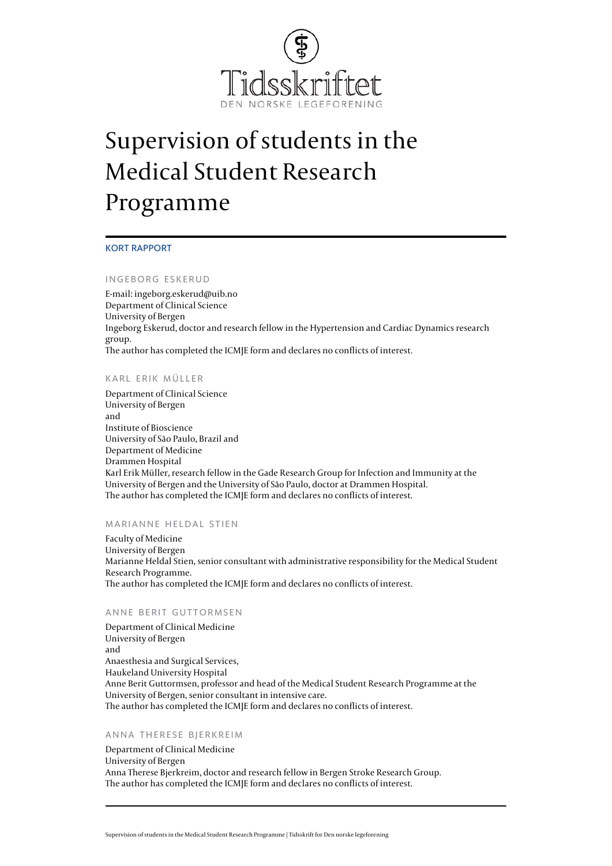

# Supervision of students in the Medical Student Research Programme

#### KORT RAPPORT

#### INGEBORG ESKERUD

E-mail: [ingeborg.eskerud@uib.no](mailto:ingeborg.eskerud@uib.no) Department of Clinical Science University of Bergen Ingeborg Eskerud, doctor and research fellow in the Hypertension and Cardiac Dynamics research group. The author has completed the [ICMJE form](http://www.icmje.org/coi_disclosure.pdf) and declares no conflicts of interest.

#### KARL ERIK MÜLLER

Department of Clinical Science University of Bergen and Institute of Bioscience University of São Paulo, Brazil and Department of Medicine Drammen Hospital Karl Erik Müller, research fellow in the Gade Research Group for Infection and Immunity at the University of Bergen and the University of São Paulo, doctor at Drammen Hospital. The author has completed the [ICMJE form](http://www.icmje.org/coi_disclosure.pdf) and declares no conflicts of interest.

#### MARIANNE HELDAL STIEN

Faculty of Medicine University of Bergen Marianne Heldal Stien, senior consultant with administrative responsibility for the Medical Student Research Programme. The author has completed the [ICMJE form](http://www.icmje.org/coi_disclosure.pdf) and declares no conflicts of interest.

#### ANNE BERIT GUTTORMSEN

Department of Clinical Medicine University of Bergen and Anaesthesia and Surgical Services, Haukeland University Hospital Anne Berit Guttormsen, professor and head of the Medical Student Research Programme at the University of Bergen, senior consultant in intensive care. The author has completed the [ICMJE form](http://www.icmje.org/coi_disclosure.pdf) and declares no conflicts of interest.

#### ANNA THERESE BJERKREIM

Department of Clinical Medicine University of Bergen Anna Therese Bjerkreim, doctor and research fellow in Bergen Stroke Research Group. The author has completed the [ICMJE form](http://www.icmje.org/coi_disclosure.pdf) and declares no conflicts of interest.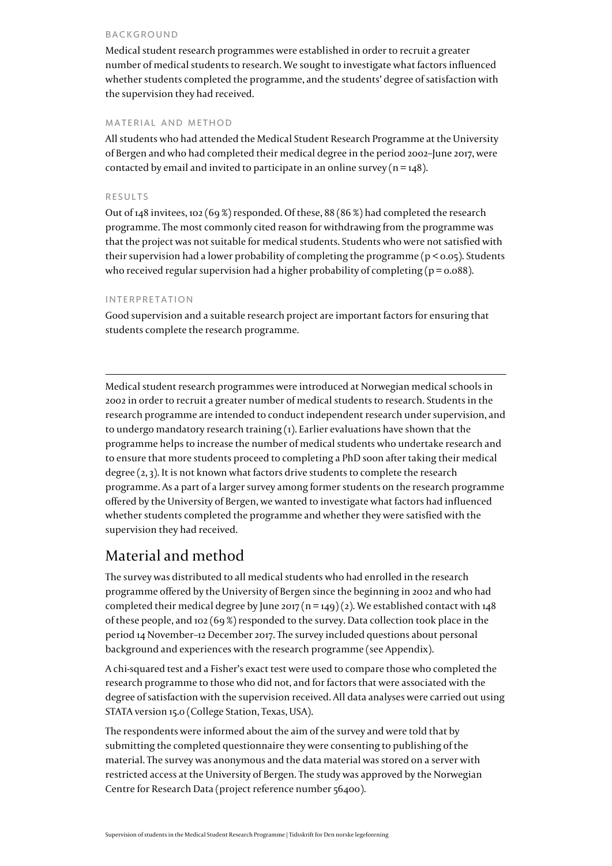#### BACKGROUND

Medical student research programmes were established in order to recruit a greater number of medical students to research. We sought to investigate what factors influenced whether students completed the programme, and the students' degree of satisfaction with the supervision they had received.

# MATERIAL AND METHOD

All students who had attended the Medical Student Research Programme at the University of Bergen and who had completed their medical degree in the period 2002–June 2017, were contacted by email and invited to participate in an online survey ( $n = 148$ ).

### RESULTS

Out of 148 invitees, 102 (69 %) responded. Of these, 88 (86 %) had completed the research programme. The most commonly cited reason for withdrawing from the programme was that the project was not suitable for medical students. Students who were not satisfied with their supervision had a lower probability of completing the programme ( $p < 0.05$ ). Students who received regular supervision had a higher probability of completing ( $p = 0.088$ ).

## INTERPRETATION

Good supervision and a suitable research project are important factors for ensuring that students complete the research programme.

Medical student research programmes were introduced at Norwegian medical schools in 2002 in order to recruit a greater number of medical students to research. Students in the research programme are intended to conduct independent research under supervision, and to undergo mandatory research training ([1](#page--1-0)). Earlier evaluations have shown that the programme helps to increase the number of medical students who undertake research and to ensure that more students proceed to completing a PhD soon after taking their medical degree ([2](#page--1-0), [3](#page--1-0)). It is not known what factors drive students to complete the research programme. As a part of a larger survey among former students on the research programme offered by the University of Bergen, we wanted to investigate what factors had influenced whether students completed the programme and whether they were satisfied with the supervision they had received.

# Material and method

The survey was distributed to all medical students who had enrolled in the research programme offered by the University of Bergen since the beginning in 2002 and who had completed their medical degree by June 2017 (n = 149) [\(2\)](#page--1-0). We established contact with 148 of these people, and 102 (69 %) responded to the survey. Data collection took place in the period 14 November–12 December 2017. The survey included questions about personal background and experiences with the research programme (see [Appendix](https://tidsskriftet.no/sites/default/files/eskerud-appendiks_eng.pdf)).

A chi-squared test and a Fisher's exact test were used to compare those who completed the research programme to those who did not, and for factors that were associated with the degree of satisfaction with the supervision received. All data analyses were carried out using STATA version 15.0 (College Station, Texas, USA).

The respondents were informed about the aim of the survey and were told that by submitting the completed questionnaire they were consenting to publishing of the material. The survey was anonymous and the data material was stored on a server with restricted access at the University of Bergen. The study was approved by the Norwegian Centre for Research Data (project reference number 56400).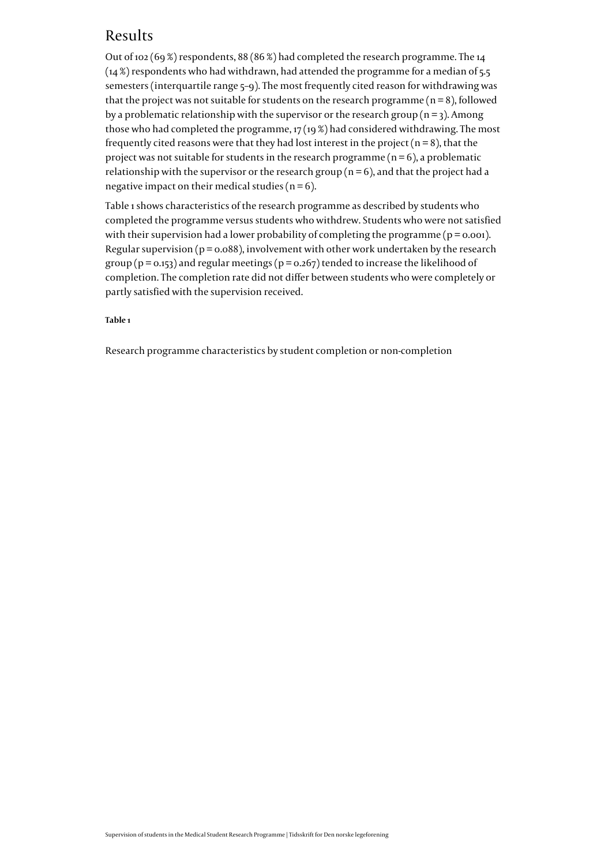# Results

Out of 102 (69 %) respondents, 88 (86 %) had completed the research programme. The 14  $(14%)$  respondents who had withdrawn, had attended the programme for a median of 5.5 semesters (interquartile range 5–9). The most frequently cited reason for withdrawing was that the project was not suitable for students on the research programme ( $n = 8$ ), followed by a problematic relationship with the supervisor or the research group ( $n = 3$ ). Among those who had completed the programme, 17 (19 %) had considered withdrawing. The most frequently cited reasons were that they had lost interest in the project ( $n = 8$ ), that the project was not suitable for students in the research programme  $(n = 6)$ , a problematic relationship with the supervisor or the research group ( $n = 6$ ), and that the project had a negative impact on their medical studies ( $n = 6$ ).

Table 1 shows characteristics of the research programme as described by students who completed the programme versus students who withdrew. Students who were not satisfied with their supervision had a lower probability of completing the programme ( $p = 0.001$ ). Regular supervision ( $p = 0.088$ ), involvement with other work undertaken by the research group ( $p = 0.153$ ) and regular meetings ( $p = 0.267$ ) tended to increase the likelihood of completion. The completion rate did not differ between students who were completely or partly satisfied with the supervision received.

# **Table 1**

Research programme characteristics by student completion or non-completion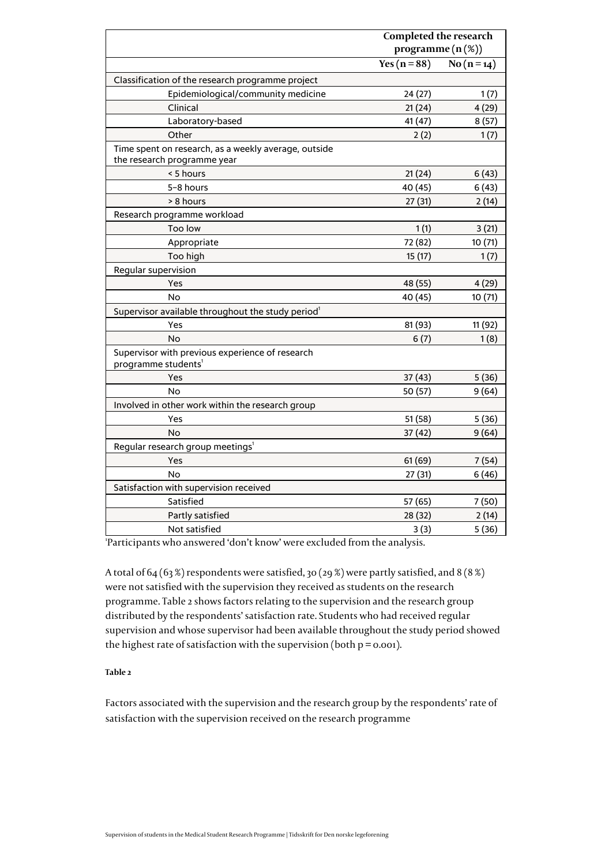|                                                                                     |                      | <b>Completed the research</b> |  |
|-------------------------------------------------------------------------------------|----------------------|-------------------------------|--|
|                                                                                     | programme $(n (\%))$ |                               |  |
|                                                                                     | Yes ( $n = 88$ )     | $\overline{No(n=14)}$         |  |
| Classification of the research programme project                                    |                      |                               |  |
| Epidemiological/community medicine                                                  | 24 (27)              | 1(7)                          |  |
| Clinical                                                                            | 21(24)               | 4(29)                         |  |
| Laboratory-based                                                                    | 41 (47)              | 8(57)                         |  |
| Other                                                                               | 2(2)                 | 1(7)                          |  |
| Time spent on research, as a weekly average, outside<br>the research programme year |                      |                               |  |
| < 5 hours                                                                           | 21(24)               | 6(43)                         |  |
| 5-8 hours                                                                           | 40 (45)              | 6(43)                         |  |
| > 8 hours                                                                           | 27(31)               | 2(14)                         |  |
| Research programme workload                                                         |                      |                               |  |
| Too low                                                                             | 1(1)                 | 3(21)                         |  |
| Appropriate                                                                         | 72 (82)              | 10(71)                        |  |
| Too high                                                                            | 15 (17)              | 1(7)                          |  |
| Regular supervision                                                                 |                      |                               |  |
| Yes                                                                                 | 48 (55)              | 4(29)                         |  |
| No                                                                                  | 40 (45)              | 10 (71)                       |  |
| Supervisor available throughout the study period <sup>1</sup>                       |                      |                               |  |
| Yes                                                                                 | 81 (93)              | 11 (92)                       |  |
| <b>No</b>                                                                           | 6(7)                 | 1(8)                          |  |
| Supervisor with previous experience of research<br>programme students <sup>1</sup>  |                      |                               |  |
| Yes                                                                                 | 37 (43)              | 5(36)                         |  |
| <b>No</b>                                                                           | 50 (57)              | 9(64)                         |  |
| Involved in other work within the research group                                    |                      |                               |  |
| Yes                                                                                 | 51(58)               | 5(36)                         |  |
| No                                                                                  | 37 (42)              | 9(64)                         |  |
| Regular research group meetings <sup>1</sup>                                        |                      |                               |  |
| Yes                                                                                 | 61(69)               | 7(54)                         |  |
| No                                                                                  | 27(31)               | 6(46)                         |  |
| Satisfaction with supervision received                                              |                      |                               |  |
| Satisfied                                                                           | 57 (65)              | 7(50)                         |  |
| Partly satisfied                                                                    | 28 (32)              | 2(14)                         |  |
| Not satisfied                                                                       | 3(3)                 | 5(36)                         |  |

'Participants who answered 'don't know' were excluded from the analysis.

A total of 64 (63 %) respondents were satisfied, 30 (29 %) were partly satisfied, and 8 (8 %) were not satisfied with the supervision they received as students on the research programme. Table 2 shows factors relating to the supervision and the research group distributed by the respondents' satisfaction rate. Students who had received regular supervision and whose supervisor had been available throughout the study period showed the highest rate of satisfaction with the supervision (both  $p = 0.001$ ).

# **Table 2**

Factors associated with the supervision and the research group by the respondents' rate of satisfaction with the supervision received on the research programme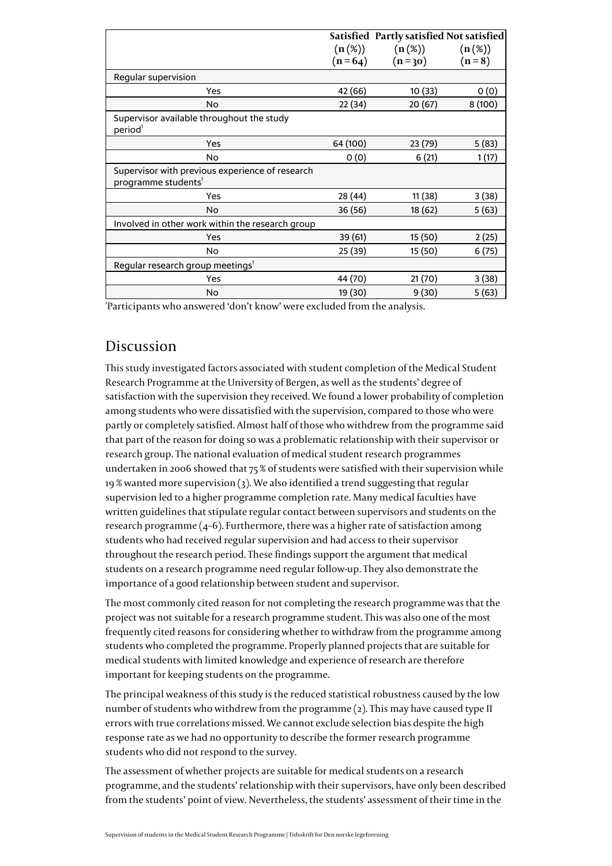|                                                                                    |           | Satisfied Partly satisfied Not satisfied |           |
|------------------------------------------------------------------------------------|-----------|------------------------------------------|-----------|
|                                                                                    | $(n(\%))$ | $(n(\%))$                                | $(n(\%))$ |
|                                                                                    | $(n=64)$  | $(n=30)$                                 | $(n=8)$   |
| Regular supervision                                                                |           |                                          |           |
| Yes                                                                                | 42 (66)   | 10 (33)                                  | 0(0)      |
| No.                                                                                | 22 (34)   | 20(67)                                   | 8(100)    |
| Supervisor available throughout the study<br>period <sup>1</sup>                   |           |                                          |           |
| Yes                                                                                | 64 (100)  | 23 (79)                                  | 5(83)     |
| No                                                                                 | 0(0)      | 6(21)                                    | 1(17)     |
| Supervisor with previous experience of research<br>programme students <sup>1</sup> |           |                                          |           |
| Yes                                                                                | 28 (44)   | 11 (38)                                  | 3(38)     |
| <b>No</b>                                                                          | 36 (56)   | 18 (62)                                  | 5(63)     |
| Involved in other work within the research group                                   |           |                                          |           |
| Yes                                                                                | 39 (61)   | 15 (50)                                  | 2(25)     |
| No                                                                                 | 25 (39)   | 15 (50)                                  | 6(75)     |
| Regular research group meetings <sup>1</sup>                                       |           |                                          |           |
| Yes                                                                                | 44 (70)   | 21 (70)                                  | 3 (38)    |
| No                                                                                 | 19 (30)   | 9(30)                                    | 5(63)     |

'Participants who answered 'don't know' were excluded from the analysis.

# Discussion

This study investigated factors associated with student completion of the Medical Student Research Programme at the University of Bergen, as well as the students' degree of satisfaction with the supervision they received. We found a lower probability of completion among students who were dissatisfied with the supervision, compared to those who were partly or completely satisfied. Almost half of those who withdrew from the programme said that part of the reason for doing so was a problematic relationship with their supervisor or research group. The national evaluation of medical student research programmes undertaken in 2006 showed that 75 % of students were satisfied with their supervision while 19 % wanted more supervision ([3\)](#page--1-0). We also identified a trend suggesting that regular supervision led to a higher programme completion rate. Many medical faculties have written guidelines that stipulate regular contact between supervisors and students on the research programme [\(4–6](#page--1-0)). Furthermore, there was a higher rate of satisfaction among students who had received regular supervision and had access to their supervisor throughout the research period. These findings support the argument that medical students on a research programme need regular follow-up. They also demonstrate the importance of a good relationship between student and supervisor.

The most commonly cited reason for not completing the research programme was that the project was not suitable for a research programme student. This was also one of the most frequently cited reasons for considering whether to withdraw from the programme among students who completed the programme. Properly planned projects that are suitable for medical students with limited knowledge and experience of research are therefore important for keeping students on the programme.

The principal weakness of this study is the reduced statistical robustness caused by the low number of students who withdrew from the programme ([2](#page--1-0)). This may have caused type II errors with true correlations missed. We cannot exclude selection bias despite the high response rate as we had no opportunity to describe the former research programme students who did not respond to the survey.

The assessment of whether projects are suitable for medical students on a research programme, and the students' relationship with their supervisors, have only been described from the students' point of view. Nevertheless, the students' assessment of their time in the